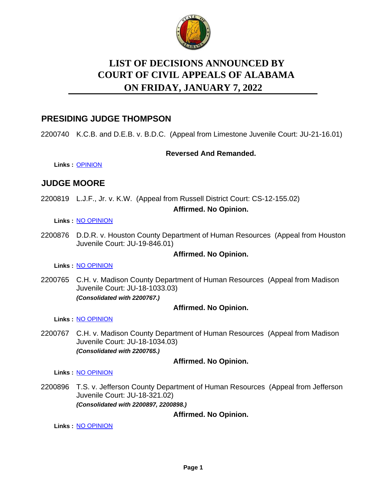

# **LIST OF DECISIONS ANNOUNCED BY ON FRIDAY, JANUARY 7, 2022 COURT OF CIVIL APPEALS OF ALABAMA**

### **PRESIDING JUDGE THOMPSON**

2200740 K.C.B. and D.E.B. v. B.D.C. (Appeal from Limestone Juvenile Court: JU-21-16.01)

#### **Reversed And Remanded.**

**Links :** [OPINION](https://acis.alabama.gov/displaydocs.cfm?no=1114497&event=68H0JTZHF)

# **JUDGE MOORE**

2200819 L.J.F., Jr. v. K.W. (Appeal from Russell District Court: CS-12-155.02) **Affirmed. No Opinion.**

#### **Links :** [NO OPINION](https://acis.alabama.gov/displaydocs.cfm?no=1114506&event=68H0JU09L)

2200876 D.D.R. v. Houston County Department of Human Resources (Appeal from Houston Juvenile Court: JU-19-846.01)

#### **Affirmed. No Opinion.**

**Links :** [NO OPINION](https://acis.alabama.gov/displaydocs.cfm?no=1114508&event=68H0JU0FT)

2200765 C.H. v. Madison County Department of Human Resources (Appeal from Madison Juvenile Court: JU-18-1033.03) *(Consolidated with 2200767.)*

#### **Affirmed. No Opinion.**

**Links :** [NO OPINION](https://acis.alabama.gov/displaydocs.cfm?no=1114504&event=68H0JU02H)

2200767 C.H. v. Madison County Department of Human Resources (Appeal from Madison Juvenile Court: JU-18-1034.03) *(Consolidated with 2200765.)*

#### **Affirmed. No Opinion.**

**Links :** [NO OPINION](https://acis.alabama.gov/displaydocs.cfm?no=1114504&event=68H0JU02H)

2200896 T.S. v. Jefferson County Department of Human Resources (Appeal from Jefferson Juvenile Court: JU-18-321.02) *(Consolidated with 2200897, 2200898.)*

#### **Affirmed. No Opinion.**

**Links :** [NO OPINION](https://acis.alabama.gov/displaydocs.cfm?no=1114509&event=68H0JU0IN)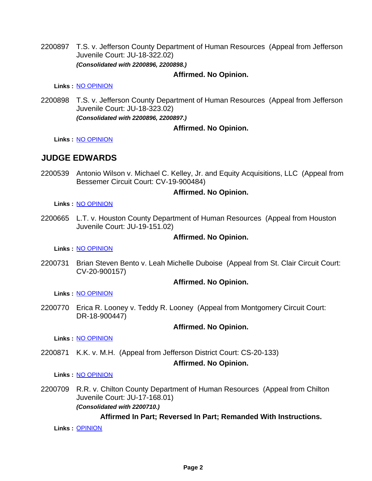2200897 T.S. v. Jefferson County Department of Human Resources (Appeal from Jefferson Juvenile Court: JU-18-322.02) *(Consolidated with 2200896, 2200898.)*

#### **Affirmed. No Opinion.**

**Links :** [NO OPINION](https://acis.alabama.gov/displaydocs.cfm?no=1114509&event=68H0JU0IN)

2200898 T.S. v. Jefferson County Department of Human Resources (Appeal from Jefferson Juvenile Court: JU-18-323.02) *(Consolidated with 2200896, 2200897.)*

#### **Affirmed. No Opinion.**

**Links :** [NO OPINION](https://acis.alabama.gov/displaydocs.cfm?no=1114509&event=68H0JU0IN)

### **JUDGE EDWARDS**

2200539 Antonio Wilson v. Michael C. Kelley, Jr. and Equity Acquisitions, LLC (Appeal from Bessemer Circuit Court: CV-19-900484)

#### **Affirmed. No Opinion.**

**Links :** [NO OPINION](https://acis.alabama.gov/displaydocs.cfm?no=1114501&event=68H0JTZUD)

2200665 L.T. v. Houston County Department of Human Resources (Appeal from Houston Juvenile Court: JU-19-151.02)

#### **Affirmed. No Opinion.**

**Links :** [NO OPINION](https://acis.alabama.gov/displaydocs.cfm?no=1114502&event=68H0JTZWZ)

2200731 Brian Steven Bento v. Leah Michelle Duboise (Appeal from St. Clair Circuit Court: CV-20-900157)

#### **Affirmed. No Opinion.**

**Links :** [NO OPINION](https://acis.alabama.gov/displaydocs.cfm?no=1114503&event=68H0JTZZO)

2200770 Erica R. Looney v. Teddy R. Looney (Appeal from Montgomery Circuit Court: DR-18-900447)

#### **Affirmed. No Opinion.**

**Links :** [NO OPINION](https://acis.alabama.gov/displaydocs.cfm?no=1114505&event=68H0JU06T)

2200871 K.K. v. M.H. (Appeal from Jefferson District Court: CS-20-133)

#### **Affirmed. No Opinion.**

#### **Links :** [NO OPINION](https://acis.alabama.gov/displaydocs.cfm?no=1114507&event=68H0JU0D8)

2200709 R.R. v. Chilton County Department of Human Resources (Appeal from Chilton Juvenile Court: JU-17-168.01) *(Consolidated with 2200710.)*

#### **Affirmed In Part; Reversed In Part; Remanded With Instructions.**

**Links :** [OPINION](https://acis.alabama.gov/displaydocs.cfm?no=1114496&event=68H0JTZCZ)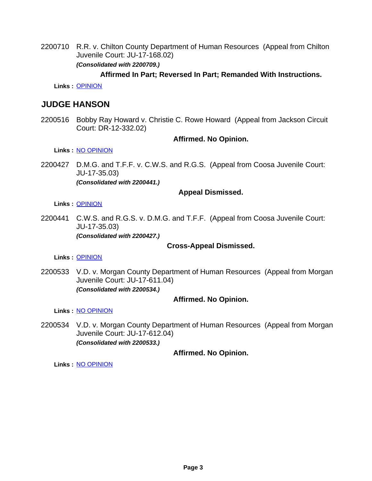2200710 R.R. v. Chilton County Department of Human Resources (Appeal from Chilton Juvenile Court: JU-17-168.02) *(Consolidated with 2200709.)*

#### **Affirmed In Part; Reversed In Part; Remanded With Instructions.**

**Links :** [OPINION](https://acis.alabama.gov/displaydocs.cfm?no=1114496&event=68H0JTZCZ)

# **JUDGE HANSON**

2200516 Bobby Ray Howard v. Christie C. Rowe Howard (Appeal from Jackson Circuit Court: DR-12-332.02)

#### **Affirmed. No Opinion.**

**Links :** [NO OPINION](https://acis.alabama.gov/displaydocs.cfm?no=1114499&event=68H0JTZNK)

2200427 D.M.G. and T.F.F. v. C.W.S. and R.G.S. (Appeal from Coosa Juvenile Court: JU-17-35.03) *(Consolidated with 2200441.)*

#### **Appeal Dismissed.**

**Links :** [OPINION](https://acis.alabama.gov/displaydocs.cfm?no=1114495&event=68H0JTZ8K)

2200441 C.W.S. and R.G.S. v. D.M.G. and T.F.F. (Appeal from Coosa Juvenile Court: JU-17-35.03) *(Consolidated with 2200427.)*

#### **Cross-Appeal Dismissed.**

**Links :** [OPINION](https://acis.alabama.gov/displaydocs.cfm?no=1114495&event=68H0JTZ8K)

2200533 V.D. v. Morgan County Department of Human Resources (Appeal from Morgan Juvenile Court: JU-17-611.04) *(Consolidated with 2200534.)*

#### **Affirmed. No Opinion.**

**Links :** [NO OPINION](https://acis.alabama.gov/displaydocs.cfm?no=1114500&event=68H0JTZQG)

2200534 V.D. v. Morgan County Department of Human Resources (Appeal from Morgan Juvenile Court: JU-17-612.04) *(Consolidated with 2200533.)*

#### **Affirmed. No Opinion.**

**Links :** [NO OPINION](https://acis.alabama.gov/displaydocs.cfm?no=1114500&event=68H0JTZQG)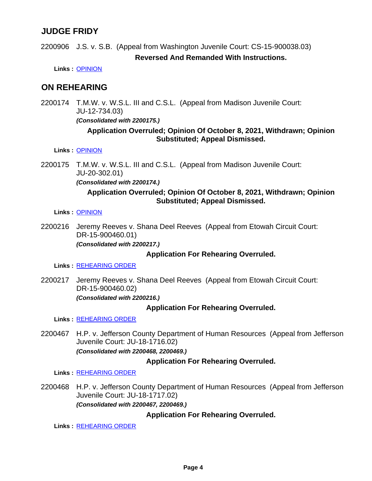# **JUDGE FRIDY**

2200906 J.S. v. S.B. (Appeal from Washington Juvenile Court: CS-15-900038.03) **Reversed And Remanded With Instructions.**

**Links :** [OPINION](https://acis.alabama.gov/displaydocs.cfm?no=1114498&event=68H0JTZKQ)

## **ON REHEARING**

2200174 T.M.W. v. W.S.L. III and C.S.L. (Appeal from Madison Juvenile Court: JU-12-734.03)

*(Consolidated with 2200175.)*

#### **Application Overruled; Opinion Of October 8, 2021, Withdrawn; Opinion Substituted; Appeal Dismissed.**

**Links :** [OPINION](https://acis.alabama.gov/displaydocs.cfm?no=1114494&event=68H0JTYT1)

2200175 T.M.W. v. W.S.L. III and C.S.L. (Appeal from Madison Juvenile Court: JU-20-302.01)

*(Consolidated with 2200174.)*

#### **Application Overruled; Opinion Of October 8, 2021, Withdrawn; Opinion Substituted; Appeal Dismissed.**

#### **Links :** [OPINION](https://acis.alabama.gov/displaydocs.cfm?no=1114494&event=68H0JTYT1)

2200216 Jeremy Reeves v. Shana Deel Reeves (Appeal from Etowah Circuit Court: DR-15-900460.01)

*(Consolidated with 2200217.)*

#### **Application For Rehearing Overruled.**

**Links :** [REHEARING ORDER](https://acis.alabama.gov/displaydocs.cfm?no=1114512&event=68H0K9CAR)

2200217 Jeremy Reeves v. Shana Deel Reeves (Appeal from Etowah Circuit Court: DR-15-900460.02) *(Consolidated with 2200216.)*

#### **Application For Rehearing Overruled.**

**Links :** [REHEARING ORDER](https://acis.alabama.gov/displaydocs.cfm?no=1114513&event=68H0KBEFO)

2200467 H.P. v. Jefferson County Department of Human Resources (Appeal from Jefferson Juvenile Court: JU-18-1716.02) *(Consolidated with 2200468, 2200469.)*

#### **Application For Rehearing Overruled.**

**Links :** [REHEARING ORDER](https://acis.alabama.gov/displaydocs.cfm?no=1114514&event=68H0KCQ0V)

2200468 H.P. v. Jefferson County Department of Human Resources (Appeal from Jefferson Juvenile Court: JU-18-1717.02) *(Consolidated with 2200467, 2200469.)*

### **Application For Rehearing Overruled.**

**Links :** [REHEARING ORDER](https://acis.alabama.gov/displaydocs.cfm?no=1114515&event=68H0KDRWX)